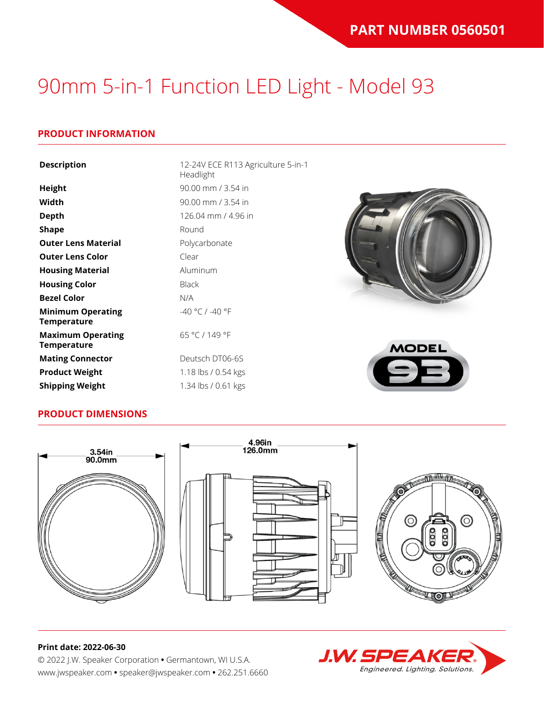### **PRODUCT INFORMATION**

| <b>Description</b>                             | 12-24V ECE R113 Agriculture 5-in-1<br>Headlight |              |
|------------------------------------------------|-------------------------------------------------|--------------|
| <b>Height</b>                                  | 90.00 mm / 3.54 in                              |              |
| Width                                          | 90.00 mm / 3.54 in                              |              |
| <b>Depth</b>                                   | 126.04 mm / 4.96 in                             |              |
| <b>Shape</b>                                   | Round                                           |              |
| <b>Outer Lens Material</b>                     | Polycarbonate                                   |              |
| <b>Outer Lens Color</b>                        | Clear                                           |              |
| <b>Housing Material</b>                        | Aluminum                                        |              |
| <b>Housing Color</b>                           | <b>Black</b>                                    |              |
| <b>Bezel Color</b>                             | N/A                                             |              |
| <b>Minimum Operating</b><br><b>Temperature</b> | -40 °C / -40 °F                                 |              |
| <b>Maximum Operating</b><br><b>Temperature</b> | 65 °C / 149 °F                                  | <b>MODEL</b> |
| <b>Mating Connector</b>                        | Deutsch DT06-6S                                 |              |
| <b>Product Weight</b>                          | 1.18 lbs / 0.54 kgs                             |              |
| <b>Shipping Weight</b>                         | 1.34 lbs / 0.61 kgs                             |              |

### **PRODUCT DIMENSIONS**



#### **Print date: 2022-06-30**

© 2022 J.W. Speaker Corporation **•** Germantown, WI U.S.A. www.jwspeaker.com **•** speaker@jwspeaker.com **•** 262.251.6660

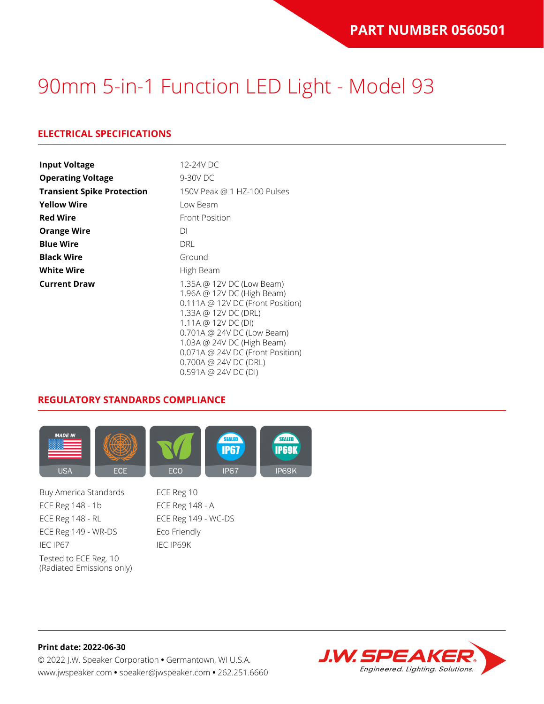### **ELECTRICAL SPECIFICATIONS**

| <b>Input Voltage</b>              | 12-24V DC                                                                                                                                                                                                                                                                                         |
|-----------------------------------|---------------------------------------------------------------------------------------------------------------------------------------------------------------------------------------------------------------------------------------------------------------------------------------------------|
| <b>Operating Voltage</b>          | 9-30V DC                                                                                                                                                                                                                                                                                          |
| <b>Transient Spike Protection</b> | 150V Peak @ 1 HZ-100 Pulses                                                                                                                                                                                                                                                                       |
| <b>Yellow Wire</b>                | Low Beam                                                                                                                                                                                                                                                                                          |
| <b>Red Wire</b>                   | <b>Front Position</b>                                                                                                                                                                                                                                                                             |
| <b>Orange Wire</b>                | DI                                                                                                                                                                                                                                                                                                |
| <b>Blue Wire</b>                  | DRL                                                                                                                                                                                                                                                                                               |
| <b>Black Wire</b>                 | Ground                                                                                                                                                                                                                                                                                            |
| <b>White Wire</b>                 | High Beam                                                                                                                                                                                                                                                                                         |
| <b>Current Draw</b>               | 1.35A @ 12V DC (Low Beam)<br>1.96A @ 12V DC (High Beam)<br>$0.111A \odot 12V$ DC (Front Position)<br>1.33A @ 12V DC (DRL)<br>1.11A @ 12V DC (DI)<br>0.701A @ 24V DC (Low Beam)<br>1.03A @ 24V DC (High Beam)<br>0.071A @ 24V DC (Front Position)<br>0.700A @ 24V DC (DRL)<br>0.591A @ 24V DC (DI) |

#### **REGULATORY STANDARDS COMPLIANCE**



Buy America Standards ECE Reg 10 ECE Reg 148 - 1b ECE Reg 148 - A ECE Reg 148 - RL ECE Reg 149 - WC-DS ECE Reg 149 - WR-DS Eco Friendly IEC IP67 IEC IP69K Tested to ECE Reg. 10 (Radiated Emissions only)

**Print date: 2022-06-30** © 2022 J.W. Speaker Corporation **•** Germantown, WI U.S.A. www.jwspeaker.com **•** speaker@jwspeaker.com **•** 262.251.6660

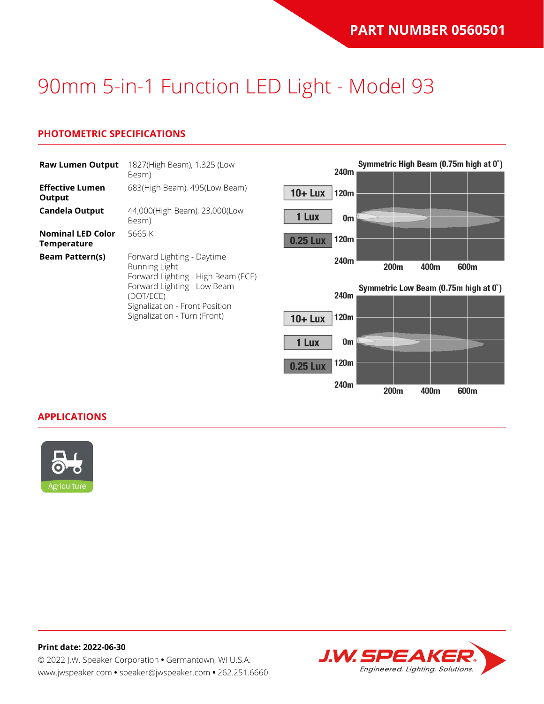## **PHOTOMETRIC SPECIFICATIONS**

| <b>Raw Lumen Output</b>                 | 1827(High Beam), 1,325 (Low<br>Beam)                                                                                                                                                            |
|-----------------------------------------|-------------------------------------------------------------------------------------------------------------------------------------------------------------------------------------------------|
| <b>Effective Lumen</b><br>Output        | 683(High Beam), 495(Low Beam)                                                                                                                                                                   |
| Candela Output                          | 44,000(High Beam), 23,000(Low<br>Beam)                                                                                                                                                          |
| <b>Nominal LED Color</b><br>Temperature | 5665 K                                                                                                                                                                                          |
| <b>Beam Pattern(s)</b>                  | Forward Lighting - Daytime<br>Running Light<br>Forward Lighting - High Beam (ECE)<br>Forward Lighting - Low Beam<br>(DOT/ECE)<br>Signalization - Front Position<br>Signalization - Turn (Front) |



#### **APPLICATIONS**



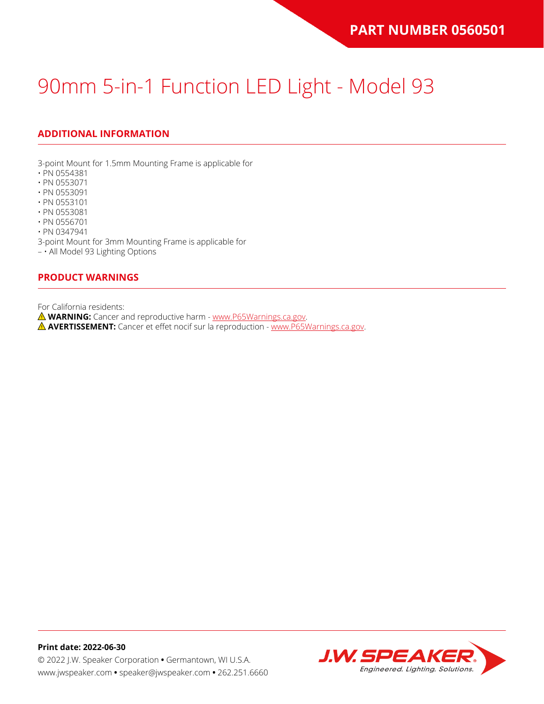## **ADDITIONAL INFORMATION**

3-point Mount for 1.5mm Mounting Frame is applicable for

- PN 0554381
- PN 0553071
- PN 0553091
- PN 0553101
- PN 0553081
- PN 0556701 • PN 0347941

3-point Mount for 3mm Mounting Frame is applicable for

– • All Model 93 Lighting Options

#### **PRODUCT WARNINGS**

For California residents:

**WARNING:** Cancer and reproductive harm - [www.P65Warnings.ca.gov](https://www.p65warnings.ca.gov/).

**AVERTISSEMENT:** Cancer et effet nocif sur la reproduction - [www.P65Warnings.ca.gov.](https://www.p65warnings.ca.gov/)

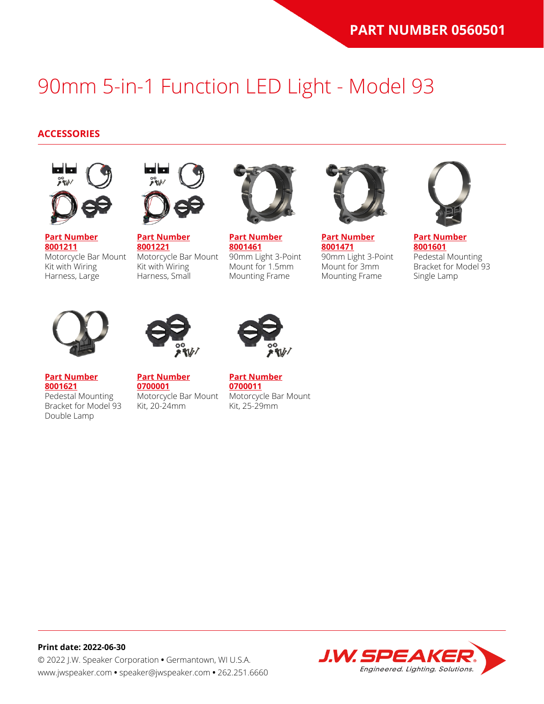#### **ACCESSORIES**



**[Part Number](https://www.jwspeaker.com/products/90mm-headlights-model-93/8001211/) [8001211](https://www.jwspeaker.com/products/90mm-headlights-model-93/8001211/)** Motorcycle Bar Mount Kit with Wiring Harness, Large



**[Part Number](https://www.jwspeaker.com/products/90mm-headlights-model-93/8001221/) [8001221](https://www.jwspeaker.com/products/90mm-headlights-model-93/8001221/)** Motorcycle Bar Mount Kit with Wiring Harness, Small



**[Part Number](https://www.jwspeaker.com/products/90mm-headlights-model-93/8001461/) [8001461](https://www.jwspeaker.com/products/90mm-headlights-model-93/8001461/)** 90mm Light 3-Point Mount for 1.5mm Mounting Frame



**[Part Number](https://www.jwspeaker.com/products/90mm-headlights-model-93/8001471/) [8001471](https://www.jwspeaker.com/products/90mm-headlights-model-93/8001471/)** 90mm Light 3-Point Mount for 3mm Mounting Frame



**[Part Number](https://www.jwspeaker.com/products/90mm-headlights-model-93/8001601/) [8001601](https://www.jwspeaker.com/products/90mm-headlights-model-93/8001601/)** Pedestal Mounting Bracket for Model 93 Single Lamp



**[8001621](https://www.jwspeaker.com/products/90mm-headlights-model-93/8001621/)**

Double Lamp



**[Part Number](https://www.jwspeaker.com/products/90mm-headlights-model-93/8001621/) [0700001](https://www.jwspeaker.com/?post_type=part&p=26513&preview=true)** Pedestal Mounting Bracket for Model 93 Kit, 20-24mm



**[Part Number](https://www.jwspeaker.com/?post_type=part&p=26512&preview=true) [0700011](https://www.jwspeaker.com/?post_type=part&p=26512&preview=true)** Motorcycle Bar Mount Kit, 25-29mm